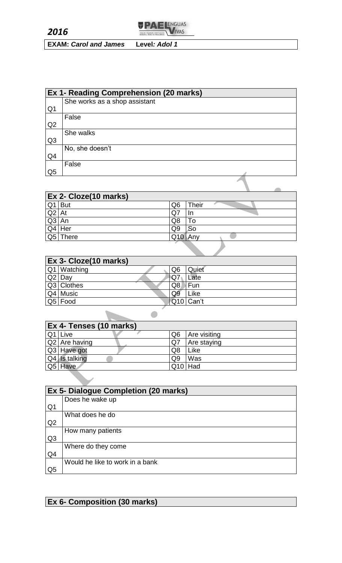

**EXAM:** *Carol and James* **Level***: Adol 1*

|                | Ex 1- Reading Comprehension (20 marks) |  |  |
|----------------|----------------------------------------|--|--|
|                | She works as a shop assistant          |  |  |
| Q <sub>1</sub> |                                        |  |  |
|                | False                                  |  |  |
| Q2             |                                        |  |  |
|                | She walks                              |  |  |
| Q <sub>3</sub> |                                        |  |  |
|                | No, she doesn't                        |  |  |
| Q4             |                                        |  |  |
|                | False                                  |  |  |
| Q <sub>5</sub> |                                        |  |  |
|                |                                        |  |  |
|                |                                        |  |  |

|         | Ex 2- Cloze(10 marks) |                |              |  |  |
|---------|-----------------------|----------------|--------------|--|--|
|         | $Q1$ But              | Q6             | <b>Their</b> |  |  |
| $Q2$ At |                       | Q <sub>7</sub> |              |  |  |
| $Q3$ An |                       | Q8             | ™о           |  |  |
|         | $Q4$ Her              | Q9             | So           |  |  |
|         | Q5 There              | Q10            | Anv          |  |  |

| <b>Ex 3- Cloze(10 marks)</b> |             |  |                |           |  |
|------------------------------|-------------|--|----------------|-----------|--|
|                              | Q1 Watching |  | Q <sub>6</sub> | Quiet     |  |
| $\overline{Q2}$              | Day         |  | $\mathbf{Q}$ 7 | Late      |  |
|                              | Q3 Clothes  |  | Q8             | Fun       |  |
|                              | Q4 Music    |  | Q9             | Like      |  |
|                              | Q5 Food     |  |                | Q10 Can't |  |
|                              |             |  |                |           |  |
|                              |             |  |                |           |  |

| Ex 4- Tenses (10 marks) |  |                |              |  |
|-------------------------|--|----------------|--------------|--|
| $Q1$ Live               |  | Q6             | Are visiting |  |
| Q2 Are having           |  | Q7             | Are staying  |  |
| Q3 Have got             |  | Q8             | Like         |  |
| Q4 Is talking           |  | Q <sub>9</sub> | Was          |  |
| Q5 Have                 |  | $Q10$ Had      |              |  |

|                | Ex 5- Dialogue Completion (20 marks) |  |  |
|----------------|--------------------------------------|--|--|
|                | Does he wake up                      |  |  |
| Q <sub>1</sub> |                                      |  |  |
|                | What does he do                      |  |  |
| Q <sub>2</sub> |                                      |  |  |
|                | How many patients                    |  |  |
| Q <sub>3</sub> |                                      |  |  |
|                | Where do they come                   |  |  |
| Q4             |                                      |  |  |
|                | Would he like to work in a bank      |  |  |
| Q <sub>5</sub> |                                      |  |  |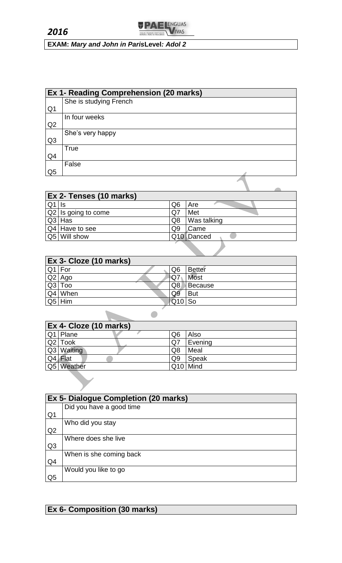

**EXAM:** *Mary and John in Paris***Level***: Adol 2*

|                | <b>Ex 1- Reading Comprehension (20 marks)</b> |  |  |
|----------------|-----------------------------------------------|--|--|
|                | She is studying French                        |  |  |
| Q <sub>1</sub> |                                               |  |  |
|                | In four weeks                                 |  |  |
| Q <sub>2</sub> |                                               |  |  |
|                | She's very happy                              |  |  |
| Q <sub>3</sub> |                                               |  |  |
|                | True                                          |  |  |
| Q4             |                                               |  |  |
|                | False                                         |  |  |
| Q <sub>5</sub> |                                               |  |  |

|         | Ex 2- Tenses (10 marks)      |    |                        |  |
|---------|------------------------------|----|------------------------|--|
| $Q1$ Is |                              | Q6 | Are                    |  |
|         | $\sqrt{Q2}$ is going to come | Q7 | Met                    |  |
| Q3 Has  |                              | Q8 | Was talking            |  |
|         | $Q4$ Have to see             | Q9 | Came                   |  |
|         | Q5 Will show                 |    | Q <sub>10</sub> Danced |  |

| <b>Ex 3- Cloze (10 marks)</b> |  |                |                |  |
|-------------------------------|--|----------------|----------------|--|
| Q1 For                        |  | Q <sub>6</sub> | <b>Better</b>  |  |
| $Q2$ Ago                      |  | NQ7            | <b>Most</b>    |  |
| $Q3$ Too                      |  | Q8             | <b>Because</b> |  |
| Q4 When                       |  | Q9             | <b>But</b>     |  |
| $Q5$ Him                      |  | $Q10$ So       |                |  |
|                               |  |                |                |  |
|                               |  |                |                |  |

| <b>Ex 4- Cloze (10 marks)</b> |                |          |  |
|-------------------------------|----------------|----------|--|
| Q1 Plane                      | Q <sub>6</sub> | Also     |  |
| Q2 Took                       | Q7             | Evening  |  |
| Q3 Waiting                    | Q8             | Meal     |  |
| Q4 Flat                       | Q <sub>9</sub> | Speak    |  |
| Q5 Weather                    |                | Q10 Mind |  |

|                | Ex 5- Dialogue Completion (20 marks) |  |  |
|----------------|--------------------------------------|--|--|
|                | Did you have a good time             |  |  |
| Q <sub>1</sub> |                                      |  |  |
|                | Who did you stay                     |  |  |
| Q2             |                                      |  |  |
|                | Where does she live                  |  |  |
| Q <sub>3</sub> |                                      |  |  |
|                | When is she coming back              |  |  |
| Q <sub>4</sub> |                                      |  |  |
|                | Would you like to go                 |  |  |
| Q <sub>5</sub> |                                      |  |  |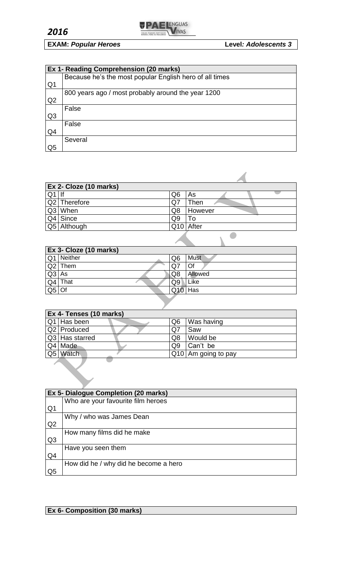

# **EXAM:** *Popular Heroes* **Level***: Adolescents 3*

|                | Ex 1- Reading Comprehension (20 marks)                  |  |  |  |  |
|----------------|---------------------------------------------------------|--|--|--|--|
|                | Because he's the most popular English hero of all times |  |  |  |  |
| Q <sub>1</sub> |                                                         |  |  |  |  |
|                | 800 years ago / most probably around the year 1200      |  |  |  |  |
| Q <sub>2</sub> |                                                         |  |  |  |  |
|                | False                                                   |  |  |  |  |
| Q <sub>3</sub> |                                                         |  |  |  |  |
|                | False                                                   |  |  |  |  |
| Q4             |                                                         |  |  |  |  |
|                | Several                                                 |  |  |  |  |
| Q5             |                                                         |  |  |  |  |

|    | <b>Ex 2- Cloze (10 marks)</b> |                |         |
|----|-------------------------------|----------------|---------|
| Q1 |                               | Q <sub>6</sub> | As      |
|    | Q2 Therefore                  | Q7             | Then    |
|    | Q3 When                       | Q8             | However |
|    | $Q4$ Since                    | Q <sub>9</sub> | To      |
|    | Q5 Although                   | Q10            | After   |
|    |                               |                |         |

|                          | Ex 3- Cloze (10 marks) |                |             |
|--------------------------|------------------------|----------------|-------------|
|                          | Q1 Neither             | Q6             | <b>Must</b> |
|                          | $Q2$ Them              | Q <sub>7</sub> | Of          |
| $Q3$ As                  |                        | Q8             | Allowed     |
| Q4                       | That                   | Q9             | Like        |
| $\overline{\textsf{Q5}}$ | ∩f                     | Q10            | Has         |

| <b>Ex 4- Tenses (10 marks)</b> |  |                |                       |  |
|--------------------------------|--|----------------|-----------------------|--|
| $\boxed{Q1}$ Has been          |  | Q6             | Was having            |  |
| Q2 Produced                    |  | Q7             | Saw                   |  |
| Q3 Has starred                 |  | Q8             | Would be              |  |
| Q4 Made                        |  | Q <sub>9</sub> | Can't be              |  |
| Q5 Watch                       |  |                | $Q10$ Am going to pay |  |

|                | Ex 5- Dialogue Completion (20 marks)  |
|----------------|---------------------------------------|
|                | Who are your favourite film heroes    |
| Q <sub>1</sub> |                                       |
|                | Why / who was James Dean              |
| Q <sub>2</sub> |                                       |
|                | How many films did he make            |
| Q <sub>3</sub> |                                       |
|                | Have you seen them                    |
| Q4             |                                       |
|                | How did he / why did he become a hero |
| Q <sub>5</sub> |                                       |

 $\overline{\phantom{a}}$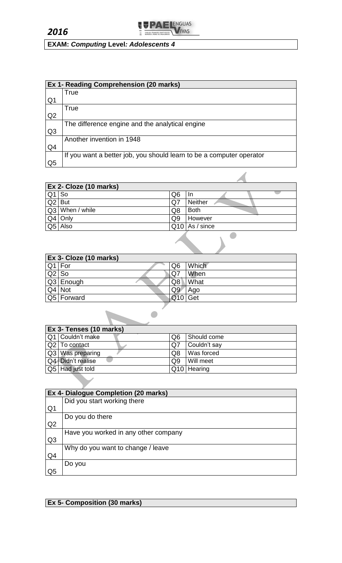

**EXAM:** *Computing* **Level***: Adolescents 4*

|                | Ex 1- Reading Comprehension (20 marks)                               |  |  |  |
|----------------|----------------------------------------------------------------------|--|--|--|
|                | True                                                                 |  |  |  |
| Q1             |                                                                      |  |  |  |
|                | True                                                                 |  |  |  |
| Q <sub>2</sub> |                                                                      |  |  |  |
|                | The difference engine and the analytical engine                      |  |  |  |
| Q <sub>3</sub> |                                                                      |  |  |  |
|                | Another invention in 1948                                            |  |  |  |
| Q4             |                                                                      |  |  |  |
|                | If you want a better job, you should learn to be a computer operator |  |  |  |
| Q5             |                                                                      |  |  |  |

|                  | Ex 2- Cloze (10 marks) |                |                  |
|------------------|------------------------|----------------|------------------|
| Q <sub>1</sub>   | So                     | Q <sub>6</sub> | In.              |
| $\overline{Q}$ 2 | <b>But</b>             | Q7             | Neither          |
|                  | Q3 When / while        | Q8             | <b>Both</b>      |
|                  | $Q4$ Only              | Q <sub>9</sub> | However          |
| Q5               | Also                   |                | $Q10$ As / since |

| Ex 3- Cloze (10 marks) |            |     |       |
|------------------------|------------|-----|-------|
|                        | Q1 For     | Q6  | Which |
| $Q2$ So                |            | .Q7 | When  |
|                        | Q3 Enough  | Q8  | What  |
|                        | Q4 Not     | Q9  | Ago   |
|                        | Q5 Forward | Q10 | Get   |

| Ex 3- Tenses (10 marks) |                |              |  |  |
|-------------------------|----------------|--------------|--|--|
| Q1   Couldn't make      | Q6             | Should come  |  |  |
| Q2 To contact           | .Q7            | Couldn't say |  |  |
| Q3 Was preparing        | Q8             | Was forced   |  |  |
| Q4 Didn't realise       | Q <sub>9</sub> | Will meet    |  |  |
| Q5 Had just told        |                | Q10 Hearing  |  |  |

|                | Ex 4- Dialogue Completion (20 marks) |
|----------------|--------------------------------------|
|                | Did you start working there          |
| Q <sub>1</sub> |                                      |
|                | Do you do there                      |
| Q <sub>2</sub> |                                      |
|                | Have you worked in any other company |
| Q <sub>3</sub> |                                      |
|                | Why do you want to change / leave    |
| Q4             |                                      |
|                | Do you                               |
| Q5             |                                      |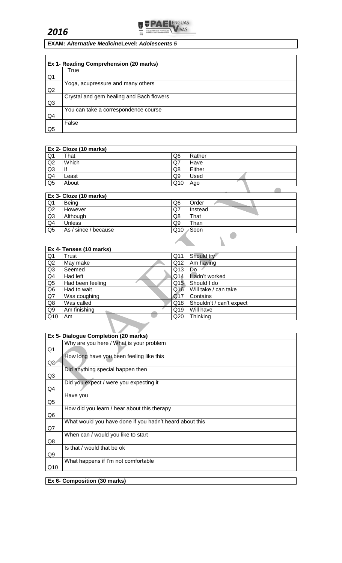



## **EXAM:** *Alternative Medicine***Level:** *Adolescents 5*

|                | Ex 1- Reading Comprehension (20 marks)   |
|----------------|------------------------------------------|
|                | True                                     |
| Q1             |                                          |
|                | Yoga, acupressure and many others        |
| Q2             |                                          |
|                | Crystal and gem healing and Bach flowers |
| Q <sub>3</sub> |                                          |
|                | You can take a correspondence course     |
| Q4             |                                          |
|                | False                                    |
| Q5             |                                          |

### **Ex 2- Cloze (10 marks)**

| Q1             | That  | Q <sub>6</sub> | Rather |  |
|----------------|-------|----------------|--------|--|
| Q2             | Which | Q7             | Have   |  |
| Q3             |       | Q8             | Either |  |
| Q <sub>4</sub> | Least | Q9             | Used   |  |
| Q <sub>5</sub> | About | Q10            | Ago    |  |
|                |       |                |        |  |

٦

|                | Ex 3- Cloze (10 marks) |     |         |
|----------------|------------------------|-----|---------|
| Q <sub>1</sub> | Being                  | Q6  | Order   |
| Q2             | However                | Q7  | Instead |
| Q <sub>3</sub> | Although               | Q8  | That    |
| Q4             | <b>Unless</b>          | Q9  | Than    |
| Q <sub>5</sub> | As / since / because   | Q10 | Soon    |
|                |                        |     |         |

|                 | Ex 4- Tenses (10 marks) |     |                          |  |  |  |
|-----------------|-------------------------|-----|--------------------------|--|--|--|
| Q <sub>1</sub>  | Trust                   | Q11 | Should try               |  |  |  |
| Q2              | May make                | Q12 | Am having                |  |  |  |
| Q3              | Seemed                  | Q13 | Do                       |  |  |  |
| Q <sub>4</sub>  | Had left                | Q14 | Hadn't worked            |  |  |  |
| Q <sub>5</sub>  | Had been feeling        | Q15 | Should I do              |  |  |  |
| Q <sub>6</sub>  | Had to wait             | Q16 | Will take / can take     |  |  |  |
| $\overline{Q7}$ | Was coughing            | Q17 | Contains                 |  |  |  |
| Q8              | Was called              | Q18 | Shouldn't / can't expect |  |  |  |
| Q <sub>9</sub>  | Am finishing            | Q19 | Will have                |  |  |  |
| Q10             | Am                      | Q20 | Thinking                 |  |  |  |

|     | Ex 5- Dialogue Completion (20 marks)                    |
|-----|---------------------------------------------------------|
|     | Why are you here / What is your problem                 |
| Q1  |                                                         |
|     | How long have you been feeling like this                |
| Q2  |                                                         |
|     | Did anything special happen then                        |
| Q3  |                                                         |
|     | Did you expect / were you expecting it                  |
| Q4  |                                                         |
|     | Have you                                                |
| Q5  |                                                         |
|     | How did you learn / hear about this therapy             |
| Q6  |                                                         |
|     | What would you have done if you hadn't heard about this |
| Q7  |                                                         |
|     | When can / would you like to start                      |
| Q8  |                                                         |
|     | Is that / would that be ok                              |
| Q9  |                                                         |
|     | What happens if I'm not comfortable                     |
| Q10 |                                                         |
|     |                                                         |
|     | Ex 6- Composition (30 marks)                            |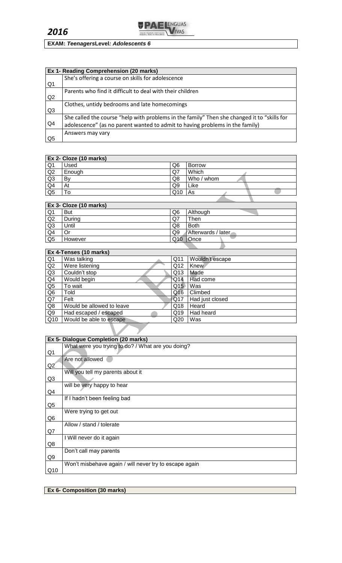

# **EXAM:** *Teenagers***Level***: Adolescents 6*

|                | Ex 1- Reading Comprehension (20 marks)                                                      |
|----------------|---------------------------------------------------------------------------------------------|
|                | She's offering a course on skills for adolescence                                           |
| Q1             |                                                                                             |
|                | Parents who find it difficult to deal with their children                                   |
| Q2             |                                                                                             |
|                | Clothes, untidy bedrooms and late homecomings                                               |
| Q <sub>3</sub> |                                                                                             |
|                | She called the course "help with problems in the family" Then she changed it to "skills for |
| Q <sub>4</sub> | adolescence" (as no parent wanted to admit to having problems in the family)                |
|                | Answers may vary                                                                            |
| Q5             |                                                                                             |

|                | <b>Ex 2- Cloze (10 marks)</b> |                 |               |
|----------------|-------------------------------|-----------------|---------------|
| Q <sub>1</sub> | Used                          | Q6              | <b>Borrow</b> |
| Q2             | Enough                        | Q7              | Which         |
| Q3             | Bv                            | Q8              | Who / whom    |
| Q <sub>4</sub> | At                            | Q9              | Like          |
| Q <sub>5</sub> | Γo                            | Q <sub>10</sub> | As            |
|                |                               |                 |               |

|                | <b>Ex 3- Cloze (10 marks)</b> |     |                    |
|----------------|-------------------------------|-----|--------------------|
| Q <sub>1</sub> | <b>But</b>                    | Q6  | Although           |
| Q2             | Durina                        | Q7  | Then               |
| Q <sub>3</sub> | Until                         | Q8  | Both               |
| Q4             | Or                            | Q9  | Afterwards / later |
| Q <sub>5</sub> | However                       | Q10 | Once               |
|                |                               |     |                    |

|                | Ex 4-Tenses (10 marks)    |     |                 |  |
|----------------|---------------------------|-----|-----------------|--|
| Q <sub>1</sub> | Was talking               | Q11 | Wouldn't escape |  |
| Q2             | Were listening            | Q12 | <b>Knew</b>     |  |
| Q3             | Couldn't stop             | Q13 | Made            |  |
| Q4             | Would begin               | Q14 | Had come        |  |
| Q <sub>5</sub> | To wait                   | Q15 | Was             |  |
| Q <sub>6</sub> | Told                      | Q16 | Climbed         |  |
| Q7             | Felt                      | Q17 | Had just closed |  |
| Q8             | Would be allowed to leave | Q18 | Heard           |  |
| Q9             | Had escaped / escaped     | Q19 | Had heard       |  |
| Q10            | Would be able to escape   | Q20 | Was             |  |
|                |                           |     |                 |  |

|                | Ex 5- Dialogue Completion (20 marks)                   |
|----------------|--------------------------------------------------------|
|                | What were you trying to do? / What are you doing?      |
| Q <sub>1</sub> |                                                        |
|                | Are not allowed                                        |
| Q2             |                                                        |
|                | Will you tell my parents about it                      |
| Q3             |                                                        |
|                | will be very happy to hear                             |
| Q4             |                                                        |
|                | If I hadn't been feeling bad                           |
| Q <sub>5</sub> |                                                        |
|                | Were trying to get out                                 |
| Q6             |                                                        |
|                | Allow / stand / tolerate                               |
| Q7             |                                                        |
|                | I Will never do it again                               |
| Q8             |                                                        |
|                | Don't call may parents                                 |
| Q9             |                                                        |
|                | Won't misbehave again / will never try to escape again |
| Q10            |                                                        |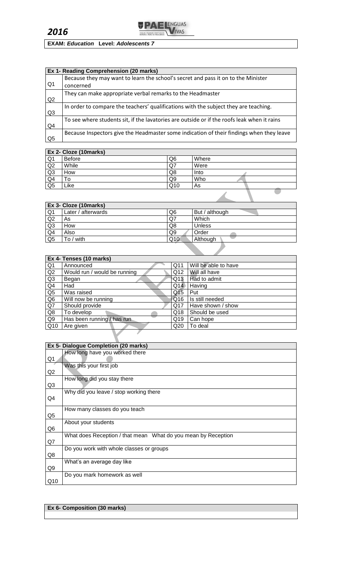

# **EXAM:** *Education* **Level:** *Adolescents 7*

|                | Ex 1- Reading Comprehension (20 marks)                                                      |
|----------------|---------------------------------------------------------------------------------------------|
|                | Because they may want to learn the school's secret and pass it on to the Minister           |
| Q <sub>1</sub> | concerned                                                                                   |
| Q2             | They can make appropriate verbal remarks to the Headmaster                                  |
| Q <sub>3</sub> | In order to compare the teachers' qualifications with the subject they are teaching.        |
| Q <sub>4</sub> | To see where students sit, if the lavatories are outside or if the roofs leak when it rains |
| Q <sub>5</sub> | Because Inspectors give the Headmaster some indication of their findings when they leave    |

|                | <b>Ex 2- Cloze (10marks)</b> |                |       |
|----------------|------------------------------|----------------|-------|
| Q <sub>1</sub> | Before                       | Q <sub>6</sub> | Where |
| Q2             | While                        | Q7             | Were  |
| Q <sub>3</sub> | How                          | Q8             | Into  |
| Q <sub>4</sub> | То                           | Q9             | Who   |
| Q <sub>5</sub> | Like                         | Q10            | As    |
|                |                              |                |       |

| <b>Ex 3- Cloze (10marks)</b> |                    |                |                |
|------------------------------|--------------------|----------------|----------------|
| Q <sub>1</sub>               | Later / afterwards | Q6             | But / although |
| Q <sub>2</sub>               | As                 | Q7             | Which          |
| Q <sub>3</sub>               | How                | Q8             | <b>Unless</b>  |
| Q <sub>4</sub>               | Also               | Q <sub>9</sub> | Order          |
| Q <sub>5</sub>               | To / with          | Q10            | Although       |

|                | Ex 4- Tenses (10 marks)      |                 |                      |  |
|----------------|------------------------------|-----------------|----------------------|--|
| Q <sub>1</sub> | Announced                    | Q11             | Will be able to have |  |
| Q2             | Would run / would be running | Q12             | Will all have        |  |
| Q <sub>3</sub> | Began                        | Q13             | Had to admit         |  |
| Q <sub>4</sub> | Had                          | Q14             | Having               |  |
| Q5             | Was raised                   | Q <sub>15</sub> | Put                  |  |
| Q <sub>6</sub> | Will now be running          | Q16             | Is still needed      |  |
| Q7             | Should provide               | Q17             | Have shown / show    |  |
| Q8             | To develop                   | Q18             | Should be used       |  |
| Q9             | Has been running / has run   | Q19             | Can hope             |  |
| Q10            | Are given                    | Q20             | To deal              |  |
|                |                              |                 |                      |  |

|                | <b>Ex 5- Dialogue Completion (20 marks)</b>                   |
|----------------|---------------------------------------------------------------|
|                | How long have you worked there                                |
| Q <sub>1</sub> |                                                               |
|                | Was this your first job                                       |
| Q2             |                                                               |
|                | How long did you stay there                                   |
| Q <sub>3</sub> |                                                               |
|                | Why did you leave / stop working there                        |
| Q4             |                                                               |
|                | How many classes do you teach                                 |
| Q <sub>5</sub> |                                                               |
|                | About your students                                           |
| Q <sub>6</sub> |                                                               |
|                | What does Reception / that mean What do you mean by Reception |
| Q7             |                                                               |
|                | Do you work with whole classes or groups                      |
| Q8             |                                                               |
|                | What's an average day like                                    |
| Q9             |                                                               |
|                | Do you mark homework as well                                  |
| Q10            |                                                               |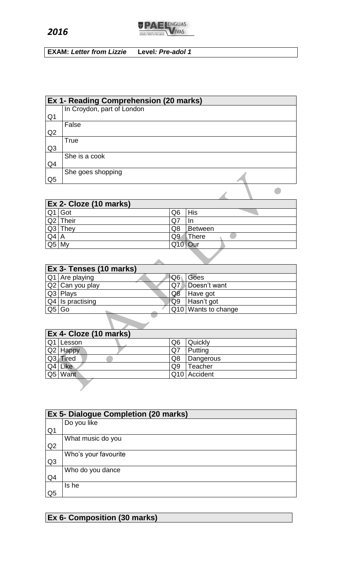*2016*



**EXAM:** *Letter from Lizzie* **Level***: Pre-adol 1*

|                | <b>Ex 1- Reading Comprehension (20 marks)</b> |
|----------------|-----------------------------------------------|
|                | In Croydon, part of London                    |
| Q <sub>1</sub> |                                               |
|                | False                                         |
| Q2             |                                               |
|                | <b>True</b>                                   |
| Q <sub>3</sub> |                                               |
|                | She is a cook                                 |
| Q <sub>4</sub> |                                               |
|                | She goes shopping                             |
| Q <sub>5</sub> |                                               |
|                |                                               |

|        | Ex 2- Cloze (10 marks) |                |            |
|--------|------------------------|----------------|------------|
|        | $Q1$ Got               | Q6             | <b>His</b> |
|        | $Q2$ Their             | Q.             | -In        |
|        | $Q3$ They              | Q8             | Between    |
| $Q4$ A |                        | Q <sub>9</sub> | There      |
| Q5     | My                     | Q10            | Our        |
|        |                        |                |            |
|        |                        |                |            |

|    | Ex 3- Tenses (10 marks) |    |                     |
|----|-------------------------|----|---------------------|
|    | $Q1$ Are playing        | Q6 | Goes                |
|    | Q2 Can you play         | Q7 | Doesn't want        |
|    | $Q3$ Plays              | Q8 | Have got            |
|    | $Q4$ Is practising      | Q9 | Hasn't got          |
| Q5 | Go                      |    | Q10 Wants to change |
|    |                         |    |                     |

|                | Ex 4- Cloze (10 marks) |    |              |  |  |
|----------------|------------------------|----|--------------|--|--|
| Q <sub>1</sub> | Lesson                 | Q6 | Quickly      |  |  |
|                | Q2 Happy               | Q7 | Putting      |  |  |
|                | Q3 Tired               | Q8 | Dangerous    |  |  |
| Q <sub>4</sub> | <b>Like</b>            | Q9 | Teacher      |  |  |
|                | Q5 Want                |    | Q10 Accident |  |  |

|                | <b>Ex 5- Dialogue Completion (20 marks)</b> |  |  |  |
|----------------|---------------------------------------------|--|--|--|
|                | Do you like                                 |  |  |  |
| Q <sub>1</sub> |                                             |  |  |  |
|                | What music do you                           |  |  |  |
| Q2             |                                             |  |  |  |
|                | Who's your favourite                        |  |  |  |
| Q <sub>3</sub> |                                             |  |  |  |
|                | Who do you dance                            |  |  |  |
| Q <sub>4</sub> |                                             |  |  |  |
|                | Is he                                       |  |  |  |
| Q <sub>5</sub> |                                             |  |  |  |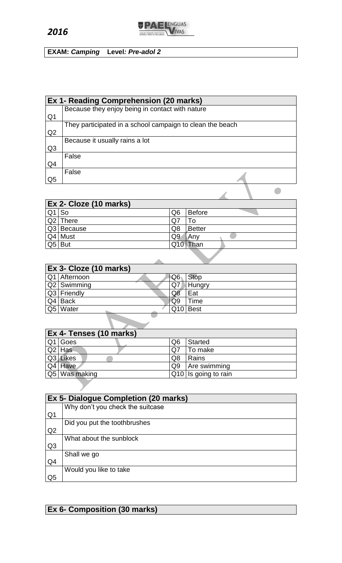$$
f_{\rm{max}}
$$

**EXAM:** *Camping* **Level***: Pre-adol 2*

|                | Ex 1- Reading Comprehension (20 marks)                    |
|----------------|-----------------------------------------------------------|
|                | Because they enjoy being in contact with nature           |
| Q <sub>1</sub> |                                                           |
|                | They participated in a school campaign to clean the beach |
| Q2             |                                                           |
|                | Because it usually rains a lot                            |
| Q <sub>3</sub> |                                                           |
|                | False                                                     |
| Q4             |                                                           |
|                | False                                                     |
| Q5             |                                                           |
|                |                                                           |

**TPAELENGUAS** 

|         | <b>Ex 2- Cloze (10 marks)</b> |                |          |  |  |
|---------|-------------------------------|----------------|----------|--|--|
| $Q1$ So |                               | Q <sub>6</sub> | Before   |  |  |
|         | Q2 There                      | Q7             | 10       |  |  |
|         | Q3 Because                    | Q8             | Better   |  |  |
|         | Q4 Must                       | Q <sub>9</sub> | Anv      |  |  |
|         | Q5 But                        |                | Q10 Than |  |  |

| Ex 3- Cloze (10 marks) |    |                      |
|------------------------|----|----------------------|
| Q1 Afternoon           | Q6 | <b>Stop</b>          |
| Q2 Swimming            | Q7 | <b>Hungry</b>        |
| Q3 Friendly            | Q8 | Eat                  |
| $Q4$ Back              | Q9 | Time                 |
| Q5 Water               |    | Q <sub>10</sub> Best |
|                        |    |                      |

| Ex 4- Tenses (10 marks) |                |                      |  |  |
|-------------------------|----------------|----------------------|--|--|
| $Q1$ Goes               | Q6             | <b>Started</b>       |  |  |
| $Q2$ Has                | Q7             | <b>To make</b>       |  |  |
| Q3 Likes                | Q8             | Rains                |  |  |
| Q4 Have                 | Q <sub>9</sub> | Are swimming         |  |  |
| $Q5$ Was making         |                | Q10 Is going to rain |  |  |

|                | <b>Ex 5- Dialogue Completion (20 marks)</b> |  |  |  |
|----------------|---------------------------------------------|--|--|--|
|                | Why don't you check the suitcase            |  |  |  |
| Q <sub>1</sub> |                                             |  |  |  |
|                | Did you put the toothbrushes                |  |  |  |
| Q2             |                                             |  |  |  |
|                | What about the sunblock                     |  |  |  |
| Q <sub>3</sub> |                                             |  |  |  |
|                | Shall we go                                 |  |  |  |
| Q4             |                                             |  |  |  |
|                | Would you like to take                      |  |  |  |
| Q <sub>5</sub> |                                             |  |  |  |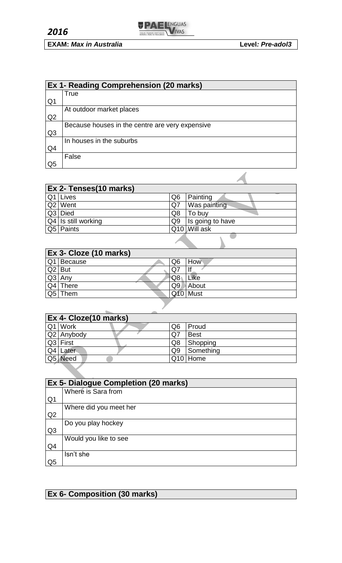

|                | Ex 1- Reading Comprehension (20 marks)          |  |  |
|----------------|-------------------------------------------------|--|--|
|                | True                                            |  |  |
| Q1             |                                                 |  |  |
|                | At outdoor market places                        |  |  |
| Q <sub>2</sub> |                                                 |  |  |
|                | Because houses in the centre are very expensive |  |  |
| Q <sub>3</sub> |                                                 |  |  |
|                | In houses in the suburbs                        |  |  |
| Q4             |                                                 |  |  |
|                | False                                           |  |  |
| Q5             |                                                 |  |  |

| Ex 2- Tenses(10 marks) |                |                  |  |
|------------------------|----------------|------------------|--|
| Q1 Lives               | Q6             | Painting         |  |
| Q2 Went                | Q7             | Was painting     |  |
| Q3 Died                | Q8             | To buy           |  |
| Q4 Is still working    | Q <sub>9</sub> | Is going to have |  |
| Q5 Paints              |                | Q10 Will ask     |  |

|            | Ex 3- Cloze (10 marks) |    |             |
|------------|------------------------|----|-------------|
| Q1         | <b>Because</b>         | Q6 | How         |
| $ Q2 $ But |                        | Q  |             |
|            | $Q3$ Any               | Q8 | Like        |
|            | $Q4$ There             | Q9 | About       |
| Q5         | Them                   |    | <b>Must</b> |

| Ex 4- Cloze(10 marks) |            |    |              |
|-----------------------|------------|----|--------------|
|                       | Q1 Work    | Q6 | <b>Proud</b> |
|                       | Q2 Anybody | Q7 | <b>Best</b>  |
|                       | Q3 First   | Q8 | Shopping     |
|                       | $Q4$ Later | Q9 | Something    |
|                       | Q5 Need    |    | $Q10$ Home   |

| Ex 5- Dialogue Completion (20 marks) |                        |  |
|--------------------------------------|------------------------|--|
|                                      | Where is Sara from     |  |
| Q <sub>1</sub>                       |                        |  |
|                                      | Where did you meet her |  |
| Q2                                   |                        |  |
|                                      | Do you play hockey     |  |
| Q <sub>3</sub>                       |                        |  |
|                                      | Would you like to see  |  |
| Q4                                   |                        |  |
|                                      | Isn't she              |  |
| Q <sub>5</sub>                       |                        |  |